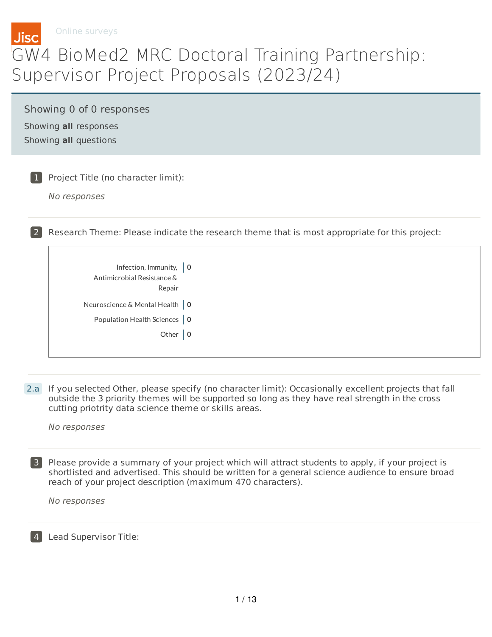

Online surveys

## GW4 BioMed2 MRC Doctoral Training Partnership: Supervisor Project Proposals (2023/24)

Showing 0 of 0 responses Showing **all** responses Showing **all** questions

1 Project Title (no character limit):

No responses

2 Research Theme: Please indicate the research theme that is most appropriate for this project:

| Infection, Immunity, $\vert$ 0<br>Antimicrobial Resistance &<br>Repair |  |
|------------------------------------------------------------------------|--|
| Neuroscience & Mental Health   0                                       |  |
| Population Health Sciences   0                                         |  |
| Other $ 0$                                                             |  |

2.a If you selected Other, please specify (no character limit): Occasionally excellent projects that fall outside the 3 priority themes will be supported so long as they have real strength in the cross cutting priotrity data science theme or skills areas.

No responses

3 Please provide a summary of your project which will attract students to apply, if your project is shortlisted and advertised. This should be written for a general science audience to ensure broad reach of your project description (maximum 470 characters).

No responses

4 Lead Supervisor Title: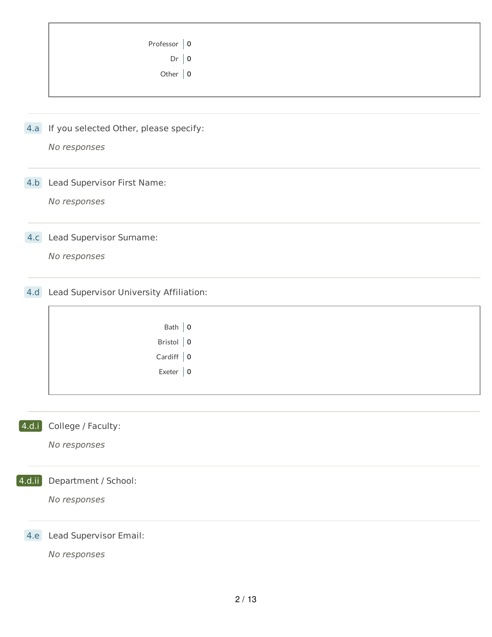| Professor $\vert 0 \vert$ |  |
|---------------------------|--|
| $Dr$ 0                    |  |
| Other $\vert 0 \vert$     |  |
|                           |  |

4.a If you selected Other, please specify:

No responses

4.b Lead Supervisor First Name:

No responses

4.c Lead Supervisor Surname:

No responses

4.d Lead Supervisor University Affiliation:

| Bath $ 0$         |  |
|-------------------|--|
| Bristol $\vert 0$ |  |
| Cardiff $\vert 0$ |  |
| Exeter $\vert$ 0  |  |
|                   |  |

4.d.i College / Faculty:

No responses

4.d.ii Department / School:

No responses

4.e Lead Supervisor Email: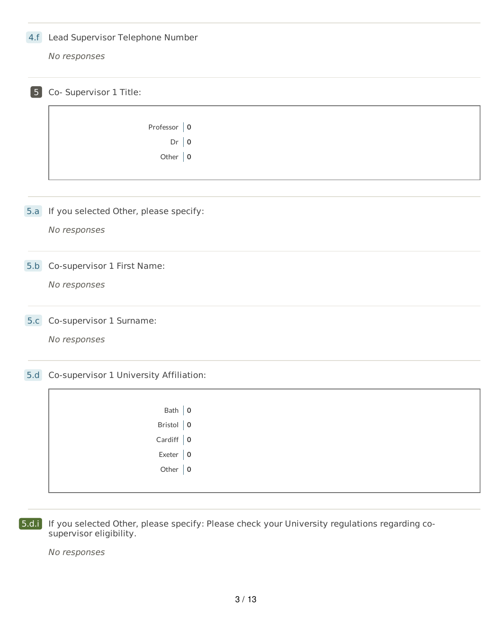## 4.f Lead Supervisor Telephone Number

No responses

| 5 <sub>5</sub> | Co- Supervisor 1 Title:                    |
|----------------|--------------------------------------------|
|                | Professor $\vert 0$                        |
|                |                                            |
|                | $Dr$   0                                   |
|                | Other $\vert 0$                            |
|                |                                            |
|                | 5.a If you selected Other, please specify: |
|                | No responses                               |
| 5.b            | Co-supervisor 1 First Name:                |
|                | No responses                               |
| 5.c            | Co-supervisor 1 Surname:                   |
|                | No responses                               |
| 5.d            | Co-supervisor 1 University Affiliation:    |
|                | Bath $ 0$                                  |
|                | Bristol $\vert 0$                          |
|                | Cardiff $\vert 0$                          |
|                |                                            |
|                | Exeter $\vert 0$                           |
|                | Other $ 0$                                 |
|                |                                            |

5.d.i If you selected Other, please specify: Please check your University regulations regarding cosupervisor eligibility.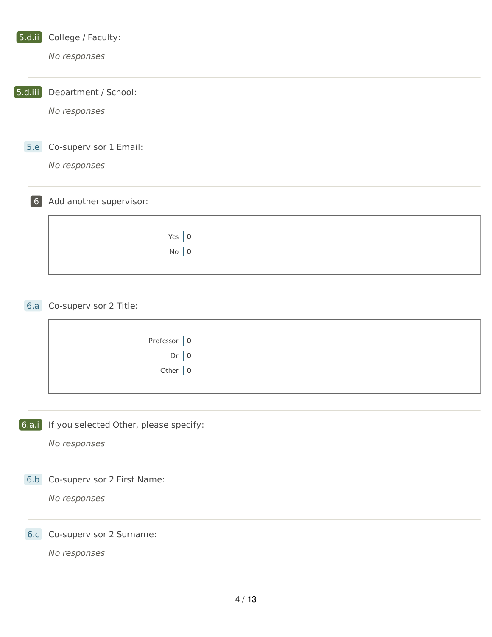| $[$ 5.d.ii $]$ | College / Faculty:<br>No responses                     |
|----------------|--------------------------------------------------------|
| [5.d.iii]      | Department / School:<br>No responses                   |
| 5.e            | Co-supervisor 1 Email:<br>No responses                 |
| $\boxed{6}$    | Add another supervisor:                                |
|                | Yes $ 0$<br>$No \mid 0$                                |
|                | 6.a Co-supervisor 2 Title:                             |
|                | Professor $\vert 0$<br>$Dr$ 0<br>Other $ 0$            |
| [6.a.i]        | If you selected Other, please specify:<br>No responses |
|                | 6.b Co-supervisor 2 First Name:<br>No responses        |
| 6.c            | Co-supervisor 2 Surname:<br>No responses               |
|                | $4/13$                                                 |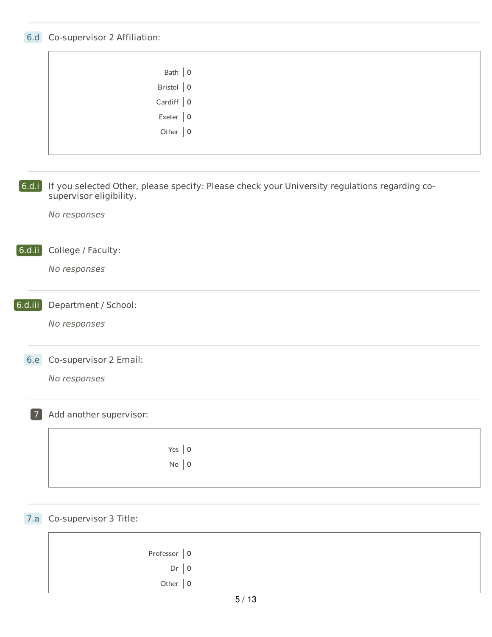## 6.d Co-supervisor 2 Affiliation:

|                | Bath $ 0$                                                                                                                |  |
|----------------|--------------------------------------------------------------------------------------------------------------------------|--|
|                | Bristol $\vert 0 \vert$                                                                                                  |  |
|                | Cardiff $\vert 0$                                                                                                        |  |
|                | Exeter $\vert 0 \vert$                                                                                                   |  |
|                | Other $\vert 0 \vert$                                                                                                    |  |
|                |                                                                                                                          |  |
|                |                                                                                                                          |  |
|                |                                                                                                                          |  |
| [6.d.i]        | If you selected Other, please specify: Please check your University regulations regarding co-<br>supervisor eligibility. |  |
|                | No responses                                                                                                             |  |
|                |                                                                                                                          |  |
|                |                                                                                                                          |  |
| $[$ 6.d.ii $]$ | College / Faculty:                                                                                                       |  |
|                | No responses                                                                                                             |  |
|                |                                                                                                                          |  |
| $6.d.$ iii     |                                                                                                                          |  |
|                | Department / School:                                                                                                     |  |
|                | No responses                                                                                                             |  |
|                |                                                                                                                          |  |
| <b>6.e</b>     | Co-supervisor 2 Email:                                                                                                   |  |
|                |                                                                                                                          |  |
|                | No responses                                                                                                             |  |
|                |                                                                                                                          |  |
| $\overline{7}$ | Add another supervisor:                                                                                                  |  |
|                |                                                                                                                          |  |
|                |                                                                                                                          |  |
|                | Yes $ 0$                                                                                                                 |  |
|                | $No \mid 0$                                                                                                              |  |
|                |                                                                                                                          |  |
|                |                                                                                                                          |  |
|                |                                                                                                                          |  |
| 7.a            | Co-supervisor 3 Title:                                                                                                   |  |
|                |                                                                                                                          |  |
|                | Professor $\vert 0$                                                                                                      |  |
|                | $Dr$   0                                                                                                                 |  |

| Other $\vert 0$ |  |
|-----------------|--|
|-----------------|--|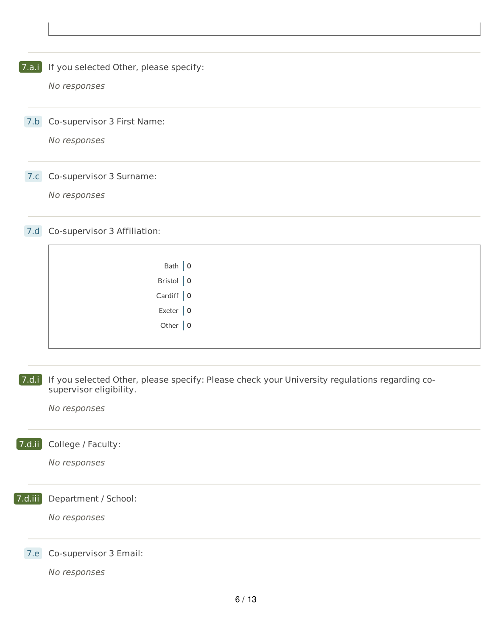**7.a.i** If you selected Other, please specify:

No responses

7.b Co-supervisor 3 First Name:

No responses

7.c Co-supervisor 3 Surname:

No responses

7.d Co-supervisor 3 Affiliation:

| Bath $ 0$              |  |
|------------------------|--|
| Bristol $\Big  0$      |  |
| Cardiff $\Big  0$      |  |
| Exeter $\vert 0 \vert$ |  |
| Other $\vert 0 \vert$  |  |
|                        |  |

7.d.i If you selected Other, please specify: Please check your University regulations regarding cosupervisor eligibility.

No responses

7.d.ii College / Faculty:

No responses

7.d.iii Department / School:

No responses

7.e Co-supervisor 3 Email: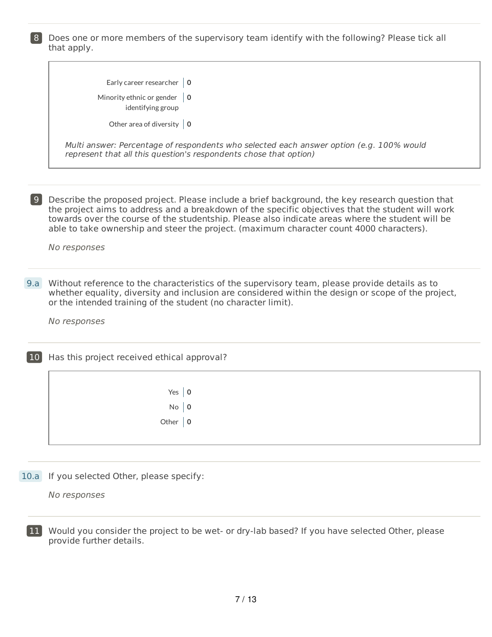8 Does one or more members of the supervisory team identify with the following? Please tick all that apply.

| Early career researcher $\vert 0 \vert$<br>Minority ethnic or gender $\vert 0 \rangle$<br>identifying group<br>Other area of diversity $\vert 0 \vert$<br>Multi answer: Percentage of respondents who selected each answer option (e.g. 100% would<br>represent that all this question's respondents chose that option)<br> 9 <br>Describe the proposed project. Please include a brief background, the key research question that<br>the project aims to address and a breakdown of the specific objectives that the student will work<br>towards over the course of the studentship. Please also indicate areas where the student will be<br>able to take ownership and steer the project. (maximum character count 4000 characters).<br>No responses<br>9.a<br>Without reference to the characteristics of the supervisory team, please provide details as to<br>whether equality, diversity and inclusion are considered within the design or scope of the project,<br>or the intended training of the student (no character limit).<br>No responses<br>Has this project received ethical approval?<br>10 <sup>1</sup><br>Yes $ 0$<br>$No$   0 |  |
|----------------------------------------------------------------------------------------------------------------------------------------------------------------------------------------------------------------------------------------------------------------------------------------------------------------------------------------------------------------------------------------------------------------------------------------------------------------------------------------------------------------------------------------------------------------------------------------------------------------------------------------------------------------------------------------------------------------------------------------------------------------------------------------------------------------------------------------------------------------------------------------------------------------------------------------------------------------------------------------------------------------------------------------------------------------------------------------------------------------------------------------------------|--|
|                                                                                                                                                                                                                                                                                                                                                                                                                                                                                                                                                                                                                                                                                                                                                                                                                                                                                                                                                                                                                                                                                                                                                    |  |
|                                                                                                                                                                                                                                                                                                                                                                                                                                                                                                                                                                                                                                                                                                                                                                                                                                                                                                                                                                                                                                                                                                                                                    |  |
|                                                                                                                                                                                                                                                                                                                                                                                                                                                                                                                                                                                                                                                                                                                                                                                                                                                                                                                                                                                                                                                                                                                                                    |  |
|                                                                                                                                                                                                                                                                                                                                                                                                                                                                                                                                                                                                                                                                                                                                                                                                                                                                                                                                                                                                                                                                                                                                                    |  |
|                                                                                                                                                                                                                                                                                                                                                                                                                                                                                                                                                                                                                                                                                                                                                                                                                                                                                                                                                                                                                                                                                                                                                    |  |
|                                                                                                                                                                                                                                                                                                                                                                                                                                                                                                                                                                                                                                                                                                                                                                                                                                                                                                                                                                                                                                                                                                                                                    |  |
|                                                                                                                                                                                                                                                                                                                                                                                                                                                                                                                                                                                                                                                                                                                                                                                                                                                                                                                                                                                                                                                                                                                                                    |  |
|                                                                                                                                                                                                                                                                                                                                                                                                                                                                                                                                                                                                                                                                                                                                                                                                                                                                                                                                                                                                                                                                                                                                                    |  |
|                                                                                                                                                                                                                                                                                                                                                                                                                                                                                                                                                                                                                                                                                                                                                                                                                                                                                                                                                                                                                                                                                                                                                    |  |
|                                                                                                                                                                                                                                                                                                                                                                                                                                                                                                                                                                                                                                                                                                                                                                                                                                                                                                                                                                                                                                                                                                                                                    |  |
|                                                                                                                                                                                                                                                                                                                                                                                                                                                                                                                                                                                                                                                                                                                                                                                                                                                                                                                                                                                                                                                                                                                                                    |  |
|                                                                                                                                                                                                                                                                                                                                                                                                                                                                                                                                                                                                                                                                                                                                                                                                                                                                                                                                                                                                                                                                                                                                                    |  |
| Other $ 0$                                                                                                                                                                                                                                                                                                                                                                                                                                                                                                                                                                                                                                                                                                                                                                                                                                                                                                                                                                                                                                                                                                                                         |  |
|                                                                                                                                                                                                                                                                                                                                                                                                                                                                                                                                                                                                                                                                                                                                                                                                                                                                                                                                                                                                                                                                                                                                                    |  |

10.a If you selected Other, please specify:

No responses

11 Would you consider the project to be wet- or dry-lab based? If you have selected Other, please provide further details.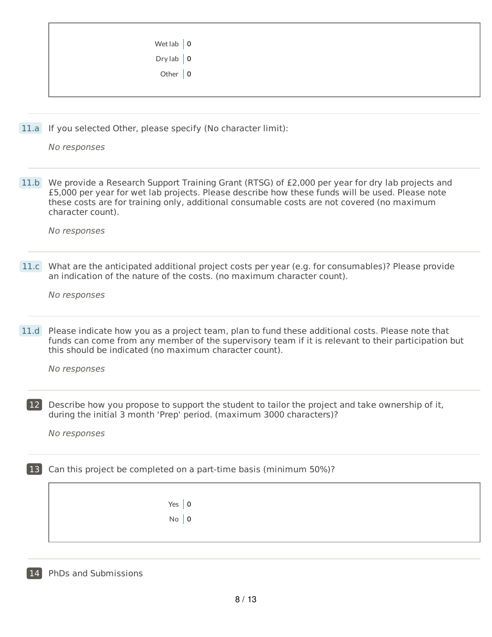| Dry lab $\vert 0 \vert$<br>Other $ 0$ | Wet lab $\vert 0 \vert$ |  |
|---------------------------------------|-------------------------|--|
|                                       |                         |  |
|                                       |                         |  |
|                                       |                         |  |

11.a If you selected Other, please specify (No character limit):

No responses

11.b We provide a Research Support Training Grant (RTSG) of £2,000 per year for dry lab projects and £5,000 per year for wet lab projects. Please describe how these funds will be used. Please note these costs are for training only, additional consumable costs are not covered (no maximum character count).

No responses

11.c What are the anticipated additional project costs per year (e.g. for consumables)? Please provide an indication of the nature of the costs. (no maximum character count).

No responses

11.d Please indicate how you as a project team, plan to fund these additional costs. Please note that funds can come from any member of the supervisory team if it is relevant to their participation but this should be indicated (no maximum character count).

No responses

12 Describe how you propose to support the student to tailor the project and take ownership of it, during the initial 3 month 'Prep' period. (maximum 3000 characters)?

No responses

13 Can this project be completed on a part-time basis (minimum 50%)?

Yes **0** No **0**

14 PhDs and Submissions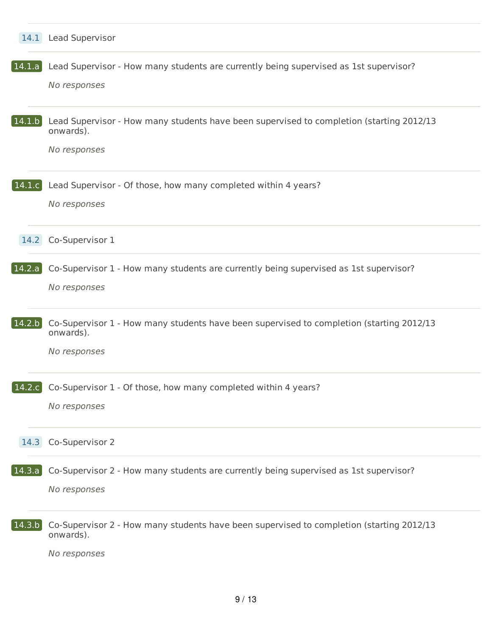|                        | 14.1 Lead Supervisor                                                                                                  |
|------------------------|-----------------------------------------------------------------------------------------------------------------------|
| 14.1.a                 | Lead Supervisor - How many students are currently being supervised as 1st supervisor?<br>No responses                 |
| $\vert$ 14.1.b $\vert$ | Lead Supervisor - How many students have been supervised to completion (starting 2012/13<br>onwards).<br>No responses |
| 14.1.c                 | Lead Supervisor - Of those, how many completed within 4 years?<br>No responses                                        |
|                        | 14.2 Co-Supervisor 1                                                                                                  |
| 14.2.a                 | Co-Supervisor 1 - How many students are currently being supervised as 1st supervisor?<br>No responses                 |
| 14.2.b                 | Co-Supervisor 1 - How many students have been supervised to completion (starting 2012/13<br>onwards).<br>No responses |
|                        | 14.2.c Co-Supervisor 1 - Of those, how many completed within 4 years?<br>No responses                                 |
|                        | 14.3 Co-Supervisor 2                                                                                                  |
| 14.3.a                 | Co-Supervisor 2 - How many students are currently being supervised as 1st supervisor?<br>No responses                 |
| 14.3.b                 | Co-Supervisor 2 - How many students have been supervised to completion (starting 2012/13<br>onwards).<br>No responses |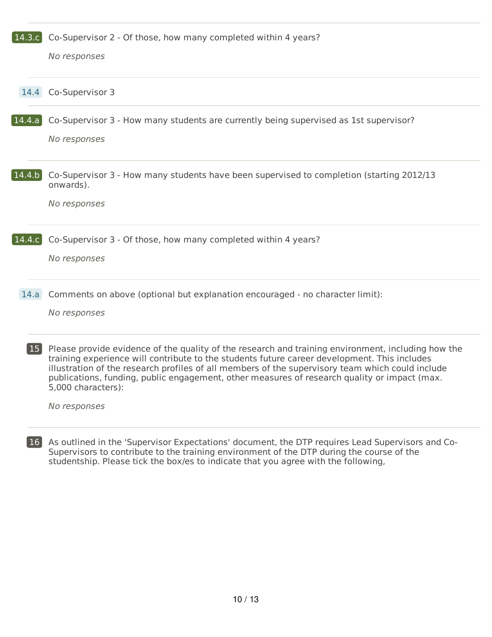| 14.3c     | Co-Supervisor 2 - Of those, how many completed within 4 years?                                                                                                                                                                                                                                                                                                                                                               |
|-----------|------------------------------------------------------------------------------------------------------------------------------------------------------------------------------------------------------------------------------------------------------------------------------------------------------------------------------------------------------------------------------------------------------------------------------|
|           | No responses                                                                                                                                                                                                                                                                                                                                                                                                                 |
| 14.4      | Co-Supervisor 3                                                                                                                                                                                                                                                                                                                                                                                                              |
| 14.4.a    | Co-Supervisor 3 - How many students are currently being supervised as 1st supervisor?<br>No responses                                                                                                                                                                                                                                                                                                                        |
| 14.4 b    | Co-Supervisor 3 - How many students have been supervised to completion (starting 2012/13<br>onwards).<br>No responses                                                                                                                                                                                                                                                                                                        |
| 14.4.c    | Co-Supervisor 3 - Of those, how many completed within 4 years?<br>No responses                                                                                                                                                                                                                                                                                                                                               |
| 14.a      | Comments on above (optional but explanation encouraged - no character limit):<br>No responses                                                                                                                                                                                                                                                                                                                                |
| <b>15</b> | Please provide evidence of the quality of the research and training environment, including how the<br>training experience will contribute to the students future career development. This includes<br>illustration of the research profiles of all members of the supervisory team which could include<br>publications, funding, public engagement, other measures of research quality or impact (max.<br>5,000 characters): |
|           | No responses                                                                                                                                                                                                                                                                                                                                                                                                                 |
|           |                                                                                                                                                                                                                                                                                                                                                                                                                              |

16 As outlined in the 'Supervisor Expectations' document, the DTP requires Lead Supervisors and Co-Supervisors to contribute to the training environment of the DTP during the course of the studentship. Please tick the box/es to indicate that you agree with the following,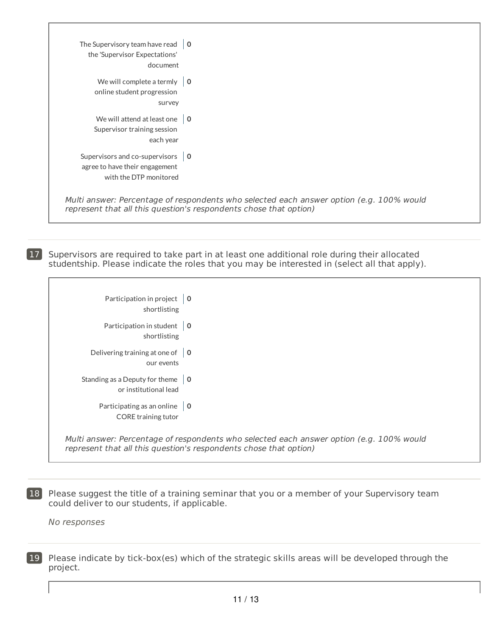| The Supervisory team have read $\vert 0 \vert$<br>the 'Supervisor Expectations'<br>document                |                                                                                                                                                               |
|------------------------------------------------------------------------------------------------------------|---------------------------------------------------------------------------------------------------------------------------------------------------------------|
| We will complete a termly $\vert 0 \vert$<br>online student progression<br>survey                          |                                                                                                                                                               |
| We will attend at least one $\vert 0 \vert$<br>Supervisor training session<br>each year                    |                                                                                                                                                               |
| Supervisors and co-supervisors $\vert 0 \vert$<br>agree to have their engagement<br>with the DTP monitored |                                                                                                                                                               |
|                                                                                                            | Multi answer: Percentage of respondents who selected each answer option (e.g. 100% would<br>represent that all this question's respondents chose that option) |

17 Supervisors are required to take part in at least one additional role during their allocated studentship. Please indicate the roles that you may be interested in (select all that apply).

| Participation in project $\vert 0 \rangle$<br>shortlisting               |                                                                                                                                                               |
|--------------------------------------------------------------------------|---------------------------------------------------------------------------------------------------------------------------------------------------------------|
| Participation in student<br>shortlisting                                 | l 0                                                                                                                                                           |
| Delivering training at one of $\vert 0 \vert$<br>our events              |                                                                                                                                                               |
| Standing as a Deputy for theme $\vert 0 \vert$<br>or institutional lead  |                                                                                                                                                               |
| Participating as an online $\vert 0 \vert$<br><b>CORE</b> training tutor |                                                                                                                                                               |
|                                                                          | Multi answer: Percentage of respondents who selected each answer option (e.g. 100% would<br>represent that all this question's respondents chose that option) |

**18** Please suggest the title of a training seminar that you or a member of your Supervisory team could deliver to our students, if applicable.

No responses

19 Please indicate by tick-box(es) which of the strategic skills areas will be developed through the project.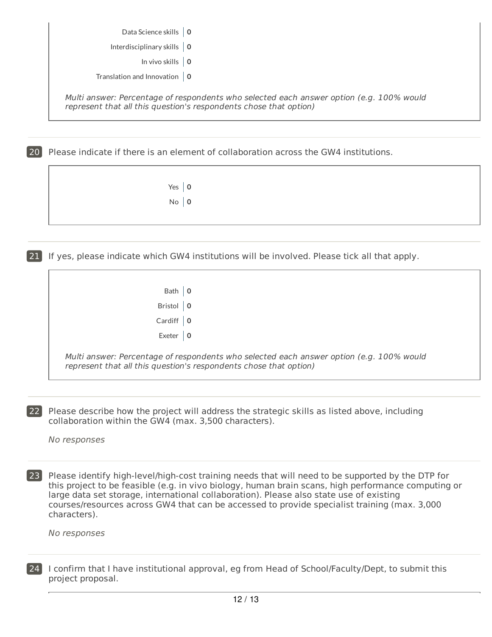| Data Science skills   0 |  |
|-------------------------|--|
|                         |  |

Interdisciplinary skills **0**

In vivo skills **0**

Translation and Innovation **0**

Multi answer: Percentage of respondents who selected each answer option (e.g. 100% would represent that all this question's respondents chose that option)

20 Please indicate if there is an element of collaboration across the GW4 institutions.

| Yes $ 0$    |  |
|-------------|--|
| $No \mid 0$ |  |

21 If yes, please indicate which GW4 institutions will be involved. Please tick all that apply.

| Bath   0          |  |
|-------------------|--|
| Bristol $\vert 0$ |  |
| Cardiff $\vert 0$ |  |
| Exeter $\vert 0$  |  |

Multi answer: Percentage of respondents who selected each answer option (e.g. 100% would represent that all this question's respondents chose that option)

22 Please describe how the project will address the strategic skills as listed above, including collaboration within the GW4 (max. 3,500 characters).

No responses

23 Please identify high-level/high-cost training needs that will need to be supported by the DTP for this project to be feasible (e.g. in vivo biology, human brain scans, high performance computing or large data set storage, international collaboration). Please also state use of existing courses/resources across GW4 that can be accessed to provide specialist training (max. 3,000 characters).

| 24 I confirm that I have institutional approval, eg from Head of School/Faculty/Dept, to submit this |
|------------------------------------------------------------------------------------------------------|
| project proposal.                                                                                    |